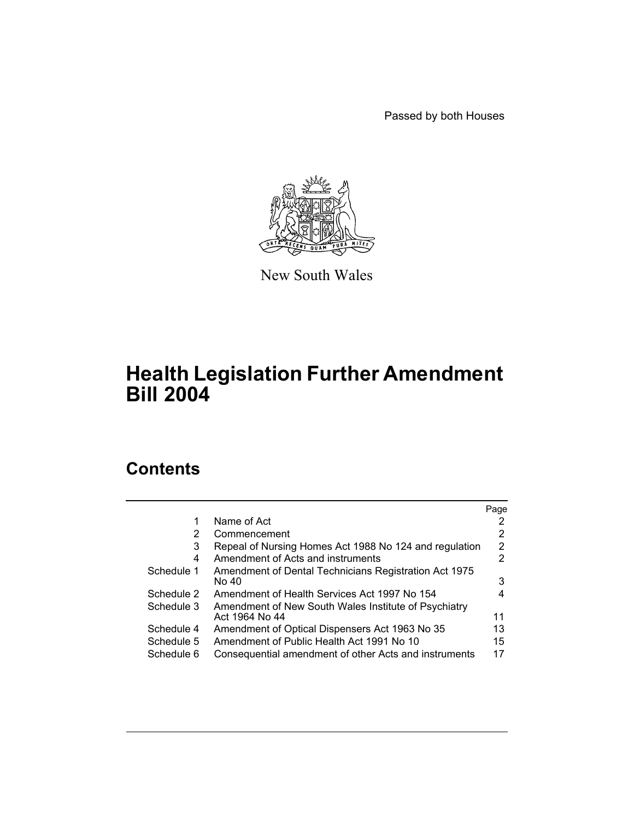Passed by both Houses



New South Wales

# **Health Legislation Further Amendment Bill 2004**

# **Contents**

|            |                                                                        | Page |
|------------|------------------------------------------------------------------------|------|
| 1          | Name of Act                                                            |      |
| 2          | Commencement                                                           | 2    |
| 3          | Repeal of Nursing Homes Act 1988 No 124 and regulation                 | 2    |
| 4          | Amendment of Acts and instruments                                      | 2    |
| Schedule 1 | Amendment of Dental Technicians Registration Act 1975<br>No 40         | 3    |
| Schedule 2 | Amendment of Health Services Act 1997 No 154                           | 4    |
| Schedule 3 | Amendment of New South Wales Institute of Psychiatry<br>Act 1964 No 44 | 11   |
| Schedule 4 | Amendment of Optical Dispensers Act 1963 No 35                         | 13   |
| Schedule 5 | Amendment of Public Health Act 1991 No 10                              | 15   |
| Schedule 6 | Consequential amendment of other Acts and instruments                  | 17   |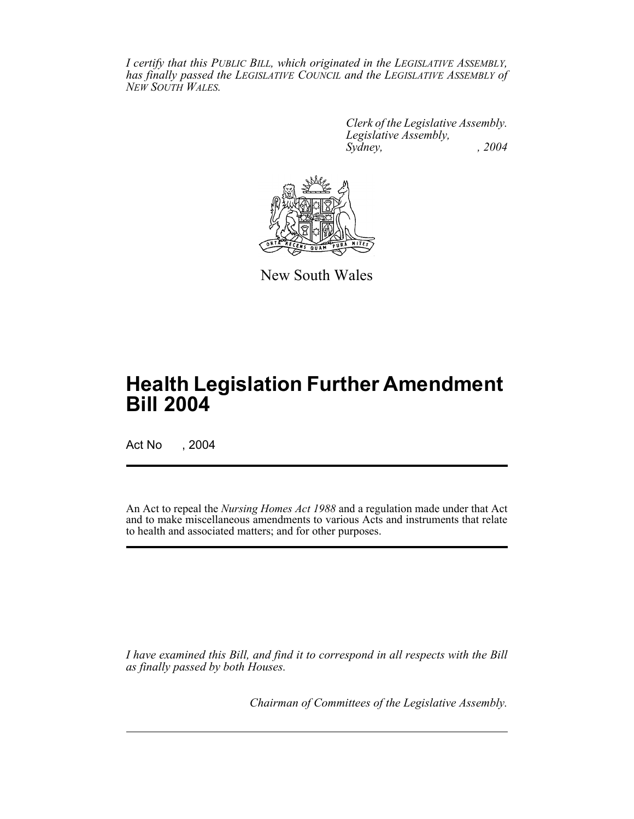*I certify that this PUBLIC BILL, which originated in the LEGISLATIVE ASSEMBLY, has finally passed the LEGISLATIVE COUNCIL and the LEGISLATIVE ASSEMBLY of NEW SOUTH WALES.*

> *Clerk of the Legislative Assembly. Legislative Assembly, Sydney, , 2004*



New South Wales

# **Health Legislation Further Amendment Bill 2004**

Act No , 2004

An Act to repeal the *Nursing Homes Act 1988* and a regulation made under that Act and to make miscellaneous amendments to various Acts and instruments that relate to health and associated matters; and for other purposes.

*I have examined this Bill, and find it to correspond in all respects with the Bill as finally passed by both Houses.*

*Chairman of Committees of the Legislative Assembly.*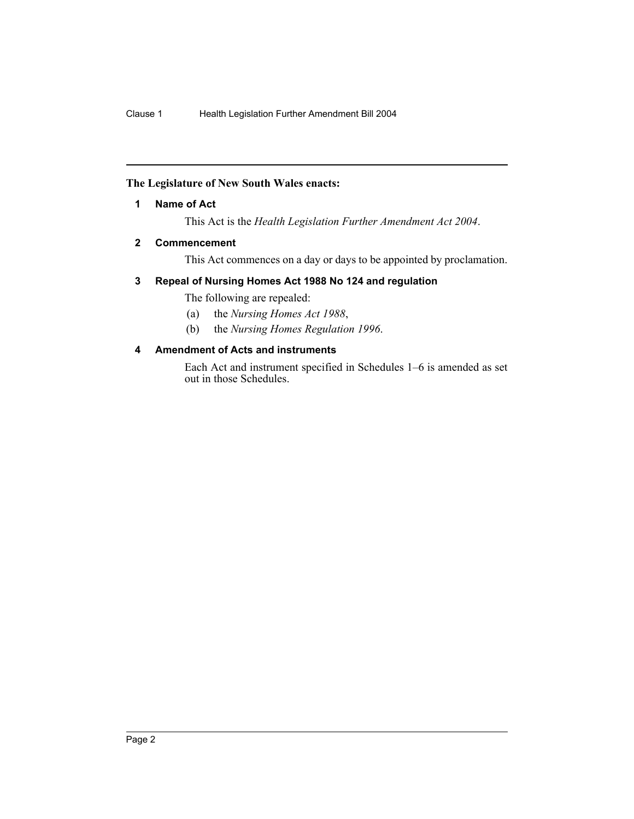### **The Legislature of New South Wales enacts:**

### **1 Name of Act**

This Act is the *Health Legislation Further Amendment Act 2004*.

### **2 Commencement**

This Act commences on a day or days to be appointed by proclamation.

### **3 Repeal of Nursing Homes Act 1988 No 124 and regulation**

The following are repealed:

- (a) the *Nursing Homes Act 1988*,
- (b) the *Nursing Homes Regulation 1996*.

### **4 Amendment of Acts and instruments**

Each Act and instrument specified in Schedules 1–6 is amended as set out in those Schedules.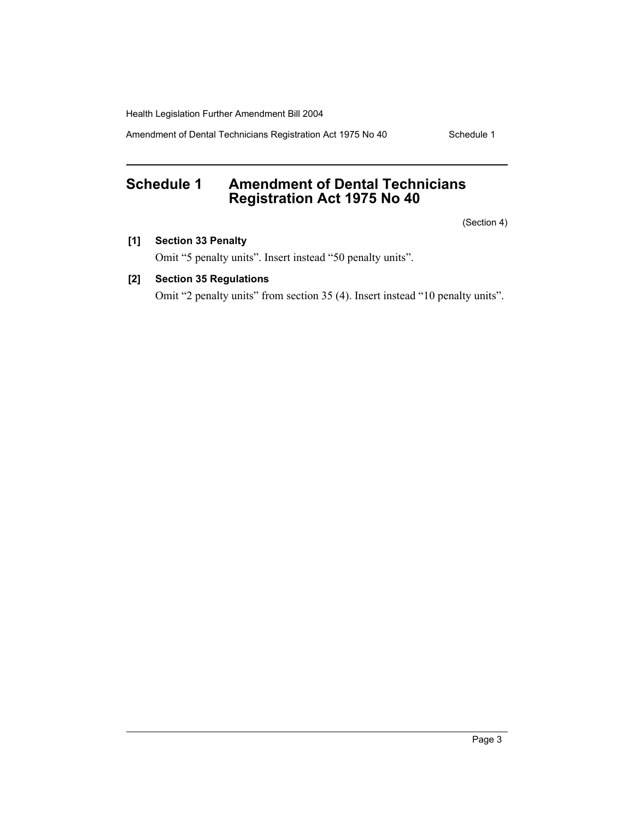Amendment of Dental Technicians Registration Act 1975 No 40 Schedule 1

# **Schedule 1 Amendment of Dental Technicians Registration Act 1975 No 40**

(Section 4)

### **[1] Section 33 Penalty**

Omit "5 penalty units". Insert instead "50 penalty units".

# **[2] Section 35 Regulations**

Omit "2 penalty units" from section 35 (4). Insert instead "10 penalty units".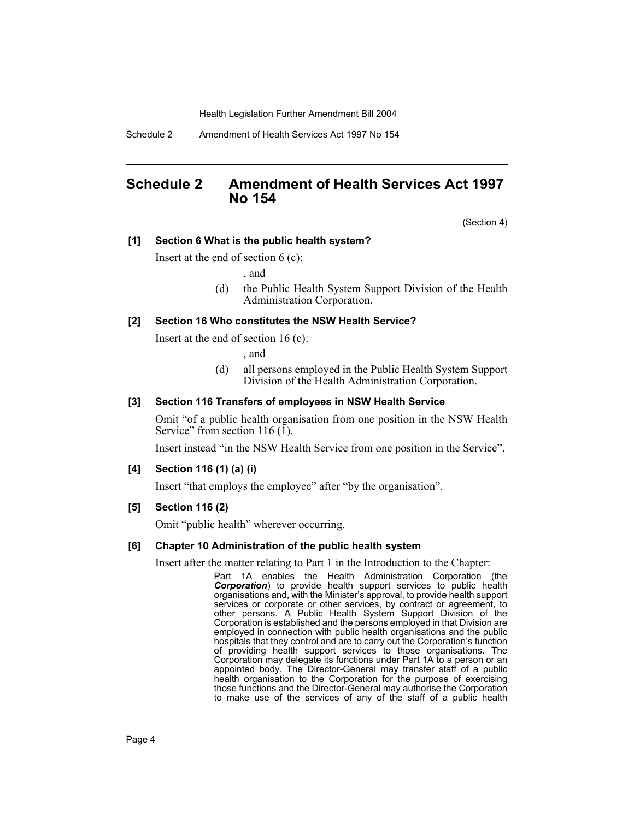Schedule 2 Amendment of Health Services Act 1997 No 154

# **Schedule 2 Amendment of Health Services Act 1997 No 154**

(Section 4)

#### **[1] Section 6 What is the public health system?**

Insert at the end of section 6 (c):

, and

(d) the Public Health System Support Division of the Health Administration Corporation.

#### **[2] Section 16 Who constitutes the NSW Health Service?**

Insert at the end of section 16 (c):

, and

(d) all persons employed in the Public Health System Support Division of the Health Administration Corporation.

#### **[3] Section 116 Transfers of employees in NSW Health Service**

Omit "of a public health organisation from one position in the NSW Health Service" from section 116 (1).

Insert instead "in the NSW Health Service from one position in the Service".

#### **[4] Section 116 (1) (a) (i)**

Insert "that employs the employee" after "by the organisation".

#### **[5] Section 116 (2)**

Omit "public health" wherever occurring.

#### **[6] Chapter 10 Administration of the public health system**

Insert after the matter relating to Part 1 in the Introduction to the Chapter:

Part 1A enables the Health Administration Corporation (the *Corporation*) to provide health support services to public health organisations and, with the Minister's approval, to provide health support services or corporate or other services, by contract or agreement, to other persons. A Public Health System Support Division of the Corporation is established and the persons employed in that Division are employed in connection with public health organisations and the public hospitals that they control and are to carry out the Corporation's function of providing health support services to those organisations. The Corporation may delegate its functions under Part 1A to a person or an appointed body. The Director-General may transfer staff of a public health organisation to the Corporation for the purpose of exercising those functions and the Director-General may authorise the Corporation to make use of the services of any of the staff of a public health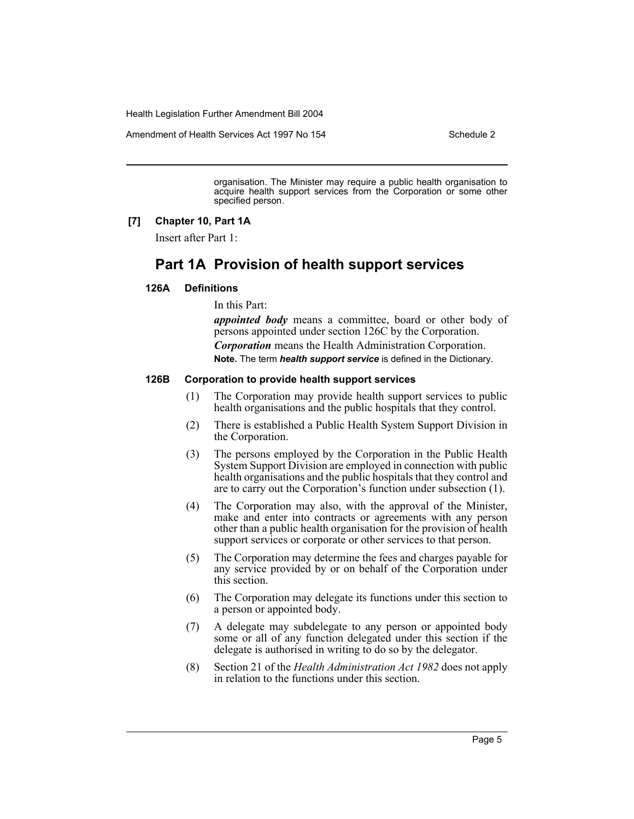Amendment of Health Services Act 1997 No 154 Schedule 2

organisation. The Minister may require a public health organisation to acquire health support services from the Corporation or some other specified person.

#### **[7] Chapter 10, Part 1A**

Insert after Part 1:

# **Part 1A Provision of health support services**

### **126A Definitions**

In this Part:

*appointed body* means a committee, board or other body of persons appointed under section 126C by the Corporation. *Corporation* means the Health Administration Corporation. **Note.** The term *health support service* is defined in the Dictionary.

#### **126B Corporation to provide health support services**

- (1) The Corporation may provide health support services to public health organisations and the public hospitals that they control.
- (2) There is established a Public Health System Support Division in the Corporation.
- (3) The persons employed by the Corporation in the Public Health System Support Division are employed in connection with public health organisations and the public hospitals that they control and are to carry out the Corporation's function under subsection (1).
- (4) The Corporation may also, with the approval of the Minister, make and enter into contracts or agreements with any person other than a public health organisation for the provision of health support services or corporate or other services to that person.
- (5) The Corporation may determine the fees and charges payable for any service provided by or on behalf of the Corporation under this section.
- (6) The Corporation may delegate its functions under this section to a person or appointed body.
- (7) A delegate may subdelegate to any person or appointed body some or all of any function delegated under this section if the delegate is authorised in writing to do so by the delegator.
- (8) Section 21 of the *Health Administration Act 1982* does not apply in relation to the functions under this section.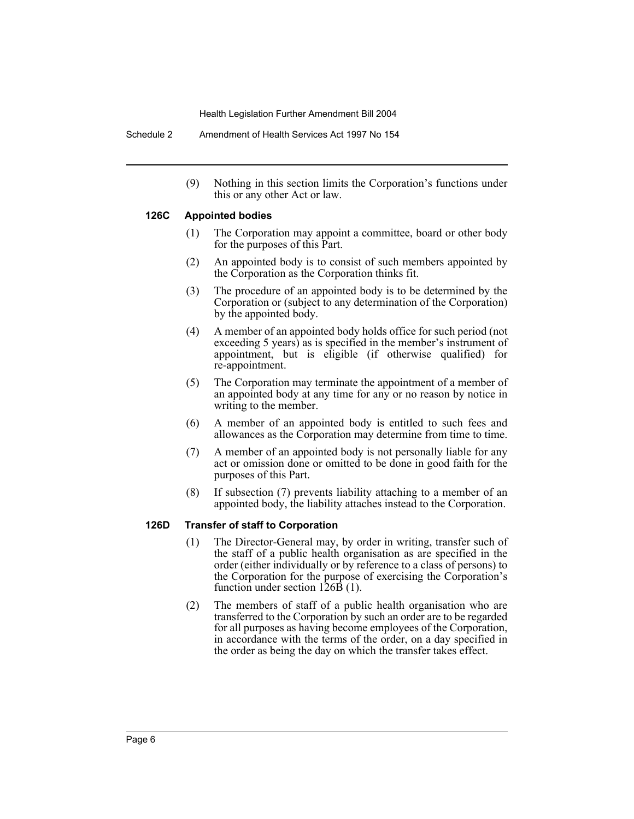Schedule 2 Amendment of Health Services Act 1997 No 154

(9) Nothing in this section limits the Corporation's functions under this or any other Act or law.

#### **126C Appointed bodies**

- (1) The Corporation may appoint a committee, board or other body for the purposes of this Part.
- (2) An appointed body is to consist of such members appointed by the Corporation as the Corporation thinks fit.
- (3) The procedure of an appointed body is to be determined by the Corporation or (subject to any determination of the Corporation) by the appointed body.
- (4) A member of an appointed body holds office for such period (not exceeding 5 years) as is specified in the member's instrument of appointment, but is eligible (if otherwise qualified) for re-appointment.
- (5) The Corporation may terminate the appointment of a member of an appointed body at any time for any or no reason by notice in writing to the member.
- (6) A member of an appointed body is entitled to such fees and allowances as the Corporation may determine from time to time.
- (7) A member of an appointed body is not personally liable for any act or omission done or omitted to be done in good faith for the purposes of this Part.
- (8) If subsection (7) prevents liability attaching to a member of an appointed body, the liability attaches instead to the Corporation.

#### **126D Transfer of staff to Corporation**

- (1) The Director-General may, by order in writing, transfer such of the staff of a public health organisation as are specified in the order (either individually or by reference to a class of persons) to the Corporation for the purpose of exercising the Corporation's function under section 126B (1).
- (2) The members of staff of a public health organisation who are transferred to the Corporation by such an order are to be regarded for all purposes as having become employees of the Corporation, in accordance with the terms of the order, on a day specified in the order as being the day on which the transfer takes effect.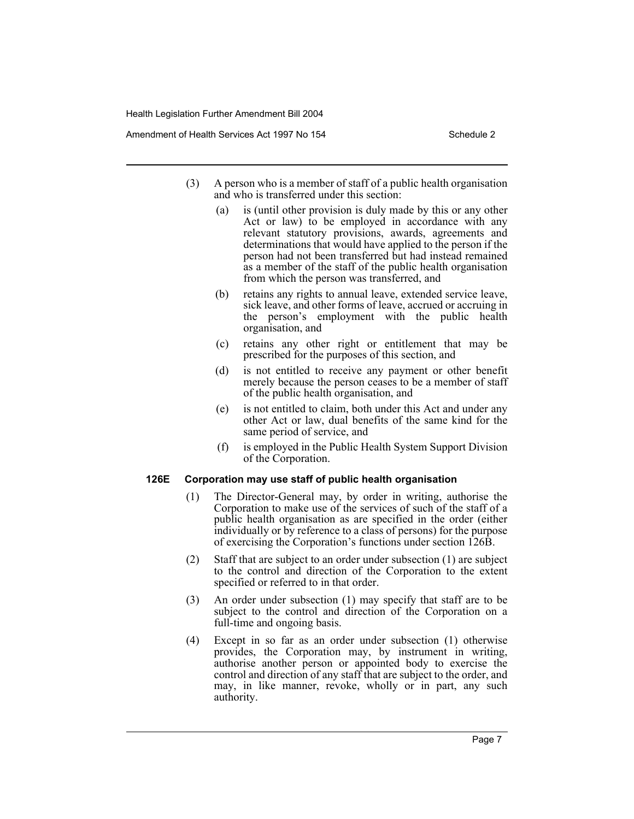Amendment of Health Services Act 1997 No 154 Schedule 2

- (3) A person who is a member of staff of a public health organisation and who is transferred under this section:
	- (a) is (until other provision is duly made by this or any other Act or law) to be employed in accordance with any relevant statutory provisions, awards, agreements and determinations that would have applied to the person if the person had not been transferred but had instead remained as a member of the staff of the public health organisation from which the person was transferred, and
	- (b) retains any rights to annual leave, extended service leave, sick leave, and other forms of leave, accrued or accruing in the person's employment with the public health organisation, and
	- (c) retains any other right or entitlement that may be prescribed for the purposes of this section, and
	- (d) is not entitled to receive any payment or other benefit merely because the person ceases to be a member of staff of the public health organisation, and
	- (e) is not entitled to claim, both under this Act and under any other Act or law, dual benefits of the same kind for the same period of service, and
	- (f) is employed in the Public Health System Support Division of the Corporation.

#### **126E Corporation may use staff of public health organisation**

- (1) The Director-General may, by order in writing, authorise the Corporation to make use of the services of such of the staff of a public health organisation as are specified in the order (either individually or by reference to a class of persons) for the purpose of exercising the Corporation's functions under section 126B.
- (2) Staff that are subject to an order under subsection (1) are subject to the control and direction of the Corporation to the extent specified or referred to in that order.
- (3) An order under subsection (1) may specify that staff are to be subject to the control and direction of the Corporation on a full-time and ongoing basis.
- (4) Except in so far as an order under subsection (1) otherwise provides, the Corporation may, by instrument in writing, authorise another person or appointed body to exercise the control and direction of any staff that are subject to the order, and may, in like manner, revoke, wholly or in part, any such authority.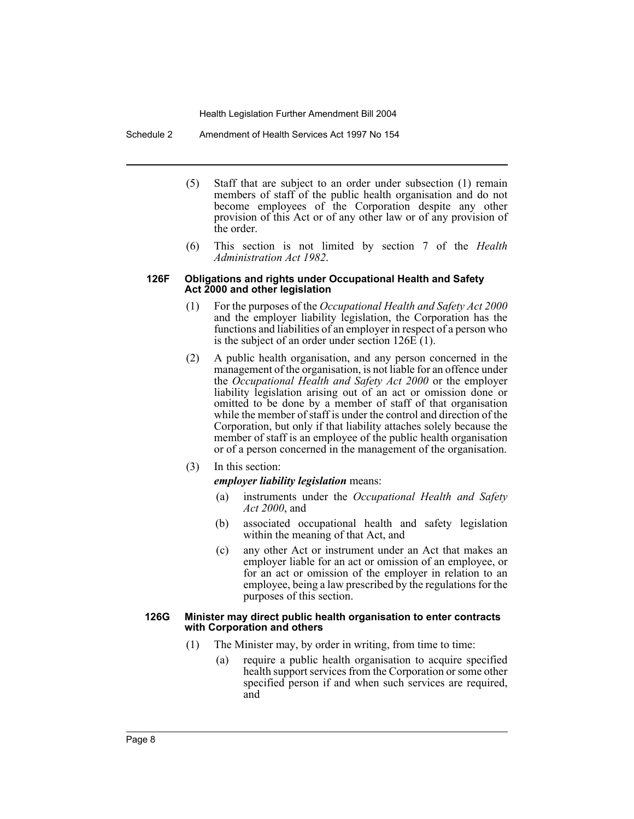Schedule 2 Amendment of Health Services Act 1997 No 154

- (5) Staff that are subject to an order under subsection (1) remain members of staff of the public health organisation and do not become employees of the Corporation despite any other provision of this Act or of any other law or of any provision of the order.
- (6) This section is not limited by section 7 of the *Health Administration Act 1982*.

#### **126F Obligations and rights under Occupational Health and Safety Act 2000 and other legislation**

- (1) For the purposes of the *Occupational Health and Safety Act 2000* and the employer liability legislation, the Corporation has the functions and liabilities of an employer in respect of a person who is the subject of an order under section  $126E(1)$ .
- (2) A public health organisation, and any person concerned in the management of the organisation, is not liable for an offence under the *Occupational Health and Safety Act 2000* or the employer liability legislation arising out of an act or omission done or omitted to be done by a member of staff of that organisation while the member of staff is under the control and direction of the Corporation, but only if that liability attaches solely because the member of staff is an employee of the public health organisation or of a person concerned in the management of the organisation.
- (3) In this section:

*employer liability legislation* means:

- (a) instruments under the *Occupational Health and Safety Act 2000*, and
- (b) associated occupational health and safety legislation within the meaning of that Act, and
- (c) any other Act or instrument under an Act that makes an employer liable for an act or omission of an employee, or for an act or omission of the employer in relation to an employee, being a law prescribed by the regulations for the purposes of this section.

#### **126G Minister may direct public health organisation to enter contracts with Corporation and others**

- (1) The Minister may, by order in writing, from time to time:
	- (a) require a public health organisation to acquire specified health support services from the Corporation or some other specified person if and when such services are required, and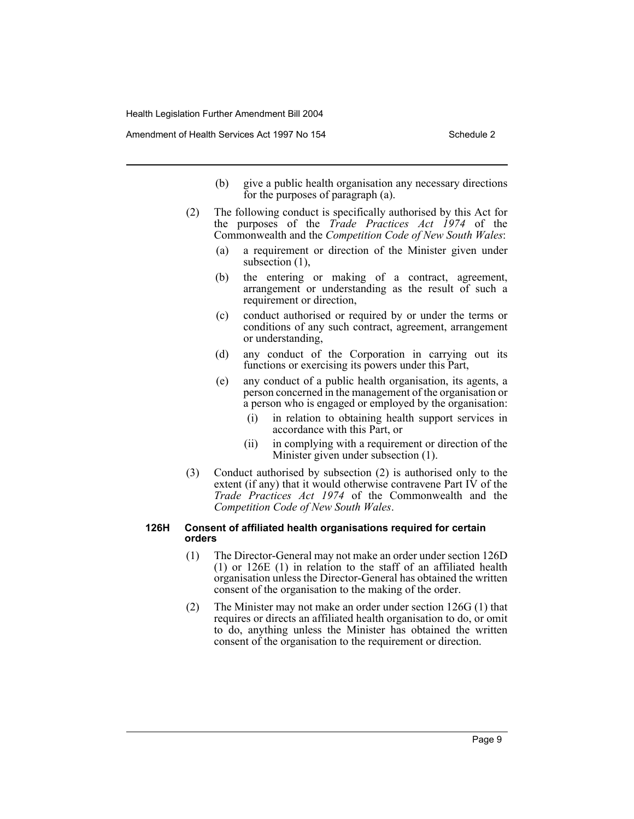Amendment of Health Services Act 1997 No 154 Schedule 2

- (b) give a public health organisation any necessary directions for the purposes of paragraph (a).
- (2) The following conduct is specifically authorised by this Act for the purposes of the *Trade Practices Act 1974* of the Commonwealth and the *Competition Code of New South Wales*:
	- (a) a requirement or direction of the Minister given under subsection  $(1)$ ,
	- (b) the entering or making of a contract, agreement, arrangement or understanding as the result of such a requirement or direction,
	- (c) conduct authorised or required by or under the terms or conditions of any such contract, agreement, arrangement or understanding,
	- (d) any conduct of the Corporation in carrying out its functions or exercising its powers under this Part,
	- (e) any conduct of a public health organisation, its agents, a person concerned in the management of the organisation or a person who is engaged or employed by the organisation:
		- (i) in relation to obtaining health support services in accordance with this Part, or
		- (ii) in complying with a requirement or direction of the Minister given under subsection (1).
- (3) Conduct authorised by subsection (2) is authorised only to the extent (if any) that it would otherwise contravene Part IV of the *Trade Practices Act 1974* of the Commonwealth and the *Competition Code of New South Wales*.

#### **126H Consent of affiliated health organisations required for certain orders**

- (1) The Director-General may not make an order under section 126D (1) or 126E (1) in relation to the staff of an affiliated health organisation unless the Director-General has obtained the written consent of the organisation to the making of the order.
- (2) The Minister may not make an order under section 126G (1) that requires or directs an affiliated health organisation to do, or omit to do, anything unless the Minister has obtained the written consent of the organisation to the requirement or direction.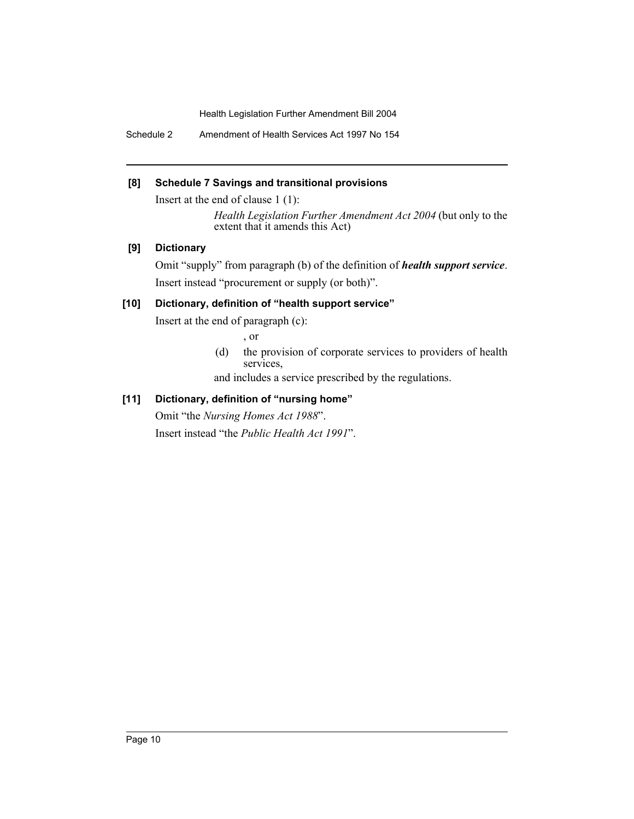Schedule 2 Amendment of Health Services Act 1997 No 154

### **[8] Schedule 7 Savings and transitional provisions**

Insert at the end of clause 1 (1):

*Health Legislation Further Amendment Act 2004* (but only to the extent that it amends this Act)

### **[9] Dictionary**

Omit "supply" from paragraph (b) of the definition of *health support service*. Insert instead "procurement or supply (or both)".

### **[10] Dictionary, definition of "health support service"**

Insert at the end of paragraph (c):

, or

(d) the provision of corporate services to providers of health services,

and includes a service prescribed by the regulations.

### **[11] Dictionary, definition of "nursing home"**

Omit "the *Nursing Homes Act 1988*".

Insert instead "the *Public Health Act 1991*".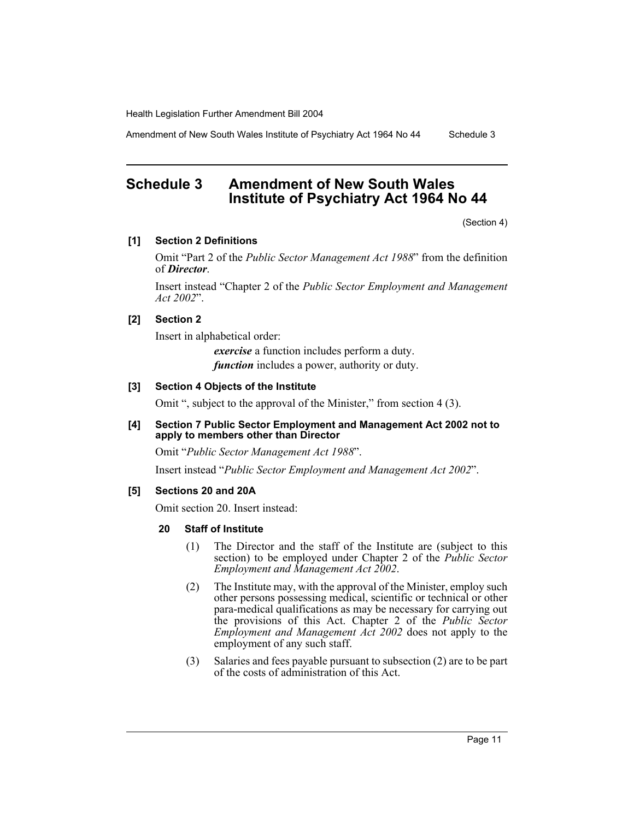Amendment of New South Wales Institute of Psychiatry Act 1964 No 44 Schedule 3

# **Schedule 3 Amendment of New South Wales Institute of Psychiatry Act 1964 No 44**

(Section 4)

#### **[1] Section 2 Definitions**

Omit "Part 2 of the *Public Sector Management Act 1988*" from the definition of *Director*.

Insert instead "Chapter 2 of the *Public Sector Employment and Management Act 2002*".

### **[2] Section 2**

Insert in alphabetical order:

*exercise* a function includes perform a duty. *function* includes a power, authority or duty.

#### **[3] Section 4 Objects of the Institute**

Omit ", subject to the approval of the Minister," from section 4 (3).

### **[4] Section 7 Public Sector Employment and Management Act 2002 not to apply to members other than Director**

Omit "*Public Sector Management Act 1988*".

Insert instead "*Public Sector Employment and Management Act 2002*".

#### **[5] Sections 20 and 20A**

Omit section 20. Insert instead:

### **20 Staff of Institute**

- (1) The Director and the staff of the Institute are (subject to this section) to be employed under Chapter 2 of the *Public Sector Employment and Management Act 2002*.
- (2) The Institute may, with the approval of the Minister, employ such other persons possessing medical, scientific or technical or other para-medical qualifications as may be necessary for carrying out the provisions of this Act. Chapter 2 of the *Public Sector Employment and Management Act 2002* does not apply to the employment of any such staff.
- (3) Salaries and fees payable pursuant to subsection (2) are to be part of the costs of administration of this Act.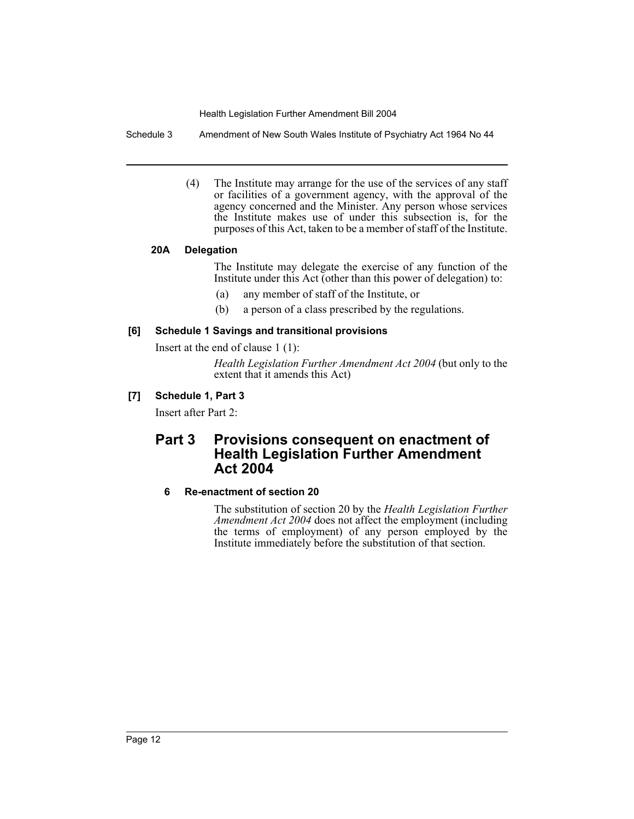Schedule 3 Amendment of New South Wales Institute of Psychiatry Act 1964 No 44

(4) The Institute may arrange for the use of the services of any staff or facilities of a government agency, with the approval of the agency concerned and the Minister. Any person whose services the Institute makes use of under this subsection is, for the purposes of this Act, taken to be a member of staff of the Institute.

### **20A Delegation**

The Institute may delegate the exercise of any function of the Institute under this Act (other than this power of delegation) to:

- (a) any member of staff of the Institute, or
- (b) a person of a class prescribed by the regulations.

### **[6] Schedule 1 Savings and transitional provisions**

Insert at the end of clause 1 (1):

*Health Legislation Further Amendment Act 2004* (but only to the extent that it amends this Act)

# **[7] Schedule 1, Part 3**

Insert after Part 2:

# **Part 3 Provisions consequent on enactment of Health Legislation Further Amendment Act 2004**

# **6 Re-enactment of section 20**

The substitution of section 20 by the *Health Legislation Further Amendment Act 2004* does not affect the employment (including the terms of employment) of any person employed by the Institute immediately before the substitution of that section.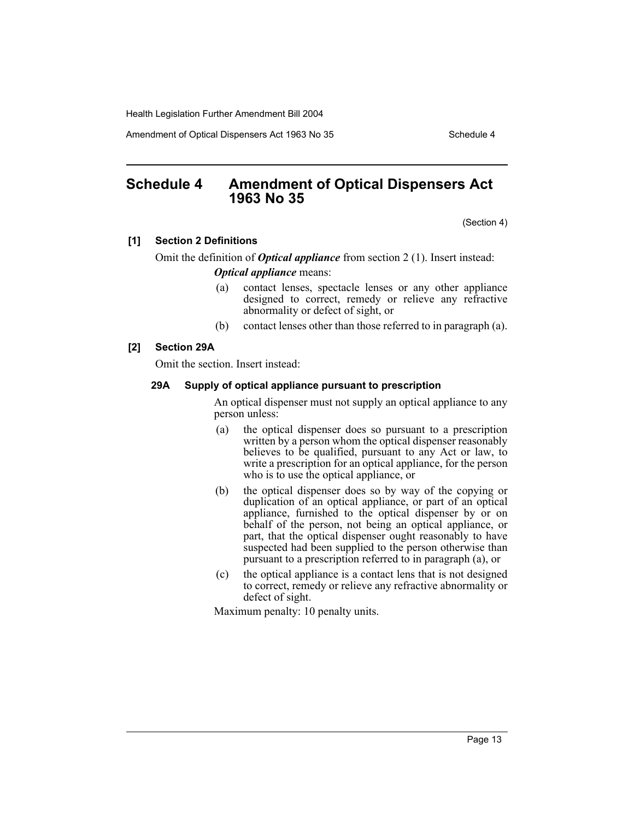Amendment of Optical Dispensers Act 1963 No 35 Schedule 4

# **Schedule 4 Amendment of Optical Dispensers Act 1963 No 35**

(Section 4)

### **[1] Section 2 Definitions**

Omit the definition of *Optical appliance* from section 2 (1). Insert instead: *Optical appliance* means:

- (a) contact lenses, spectacle lenses or any other appliance designed to correct, remedy or relieve any refractive abnormality or defect of sight, or
- (b) contact lenses other than those referred to in paragraph (a).

### **[2] Section 29A**

Omit the section. Insert instead:

#### **29A Supply of optical appliance pursuant to prescription**

An optical dispenser must not supply an optical appliance to any person unless:

- (a) the optical dispenser does so pursuant to a prescription written by a person whom the optical dispenser reasonably believes to be qualified, pursuant to any Act or law, to write a prescription for an optical appliance, for the person who is to use the optical appliance, or
- (b) the optical dispenser does so by way of the copying or duplication of an optical appliance, or part of an optical appliance, furnished to the optical dispenser by or on behalf of the person, not being an optical appliance, or part, that the optical dispenser ought reasonably to have suspected had been supplied to the person otherwise than pursuant to a prescription referred to in paragraph (a), or
- (c) the optical appliance is a contact lens that is not designed to correct, remedy or relieve any refractive abnormality or defect of sight.

Maximum penalty: 10 penalty units.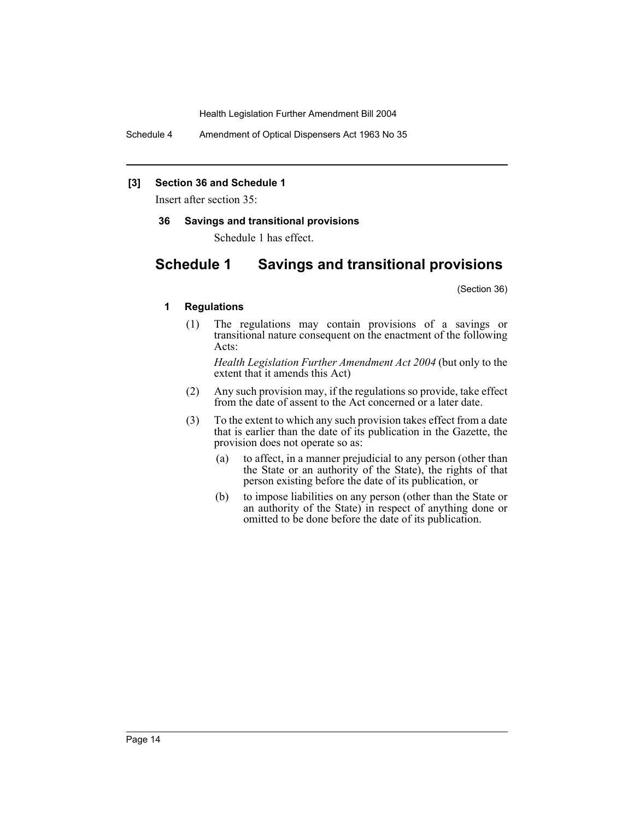Schedule 4 Amendment of Optical Dispensers Act 1963 No 35

#### **[3] Section 36 and Schedule 1**

Insert after section 35:

**36 Savings and transitional provisions**

Schedule 1 has effect.

# **Schedule 1 Savings and transitional provisions**

(Section 36)

### **1 Regulations**

(1) The regulations may contain provisions of a savings or transitional nature consequent on the enactment of the following Acts:

*Health Legislation Further Amendment Act 2004* (but only to the extent that it amends this Act)

- (2) Any such provision may, if the regulations so provide, take effect from the date of assent to the Act concerned or a later date.
- (3) To the extent to which any such provision takes effect from a date that is earlier than the date of its publication in the Gazette, the provision does not operate so as:
	- (a) to affect, in a manner prejudicial to any person (other than the State or an authority of the State), the rights of that person existing before the date of its publication, or
	- (b) to impose liabilities on any person (other than the State or an authority of the State) in respect of anything done or omitted to be done before the date of its publication.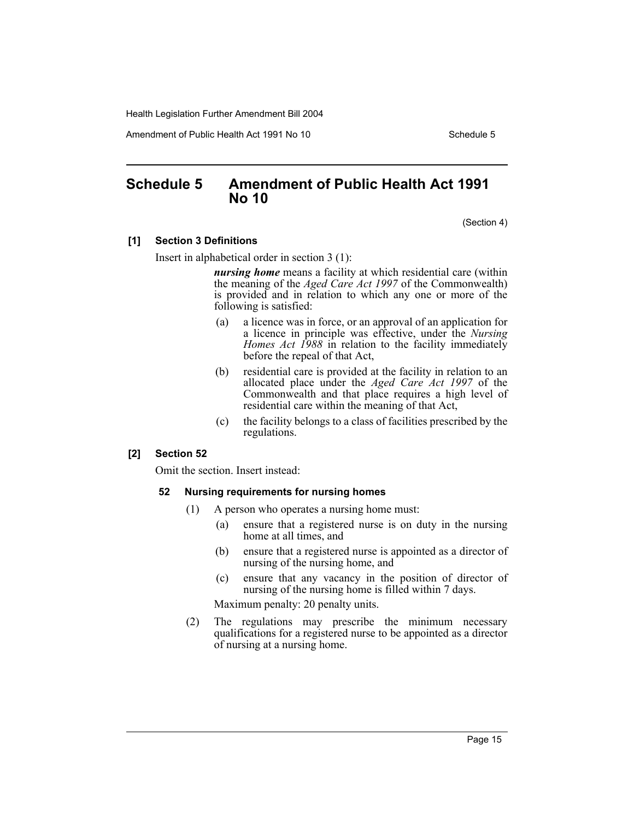Amendment of Public Health Act 1991 No 10 Schedule 5

# **Schedule 5 Amendment of Public Health Act 1991 No 10**

(Section 4)

### **[1] Section 3 Definitions**

Insert in alphabetical order in section 3 (1):

*nursing home* means a facility at which residential care (within the meaning of the *Aged Care Act 1997* of the Commonwealth) is provided and in relation to which any one or more of the following is satisfied:

- (a) a licence was in force, or an approval of an application for a licence in principle was effective, under the *Nursing Homes Act 1988* in relation to the facility immediately before the repeal of that Act,
- (b) residential care is provided at the facility in relation to an allocated place under the *Aged Care Act 1997* of the Commonwealth and that place requires a high level of residential care within the meaning of that Act,
- (c) the facility belongs to a class of facilities prescribed by the regulations.

#### **[2] Section 52**

Omit the section. Insert instead:

#### **52 Nursing requirements for nursing homes**

- (1) A person who operates a nursing home must:
	- (a) ensure that a registered nurse is on duty in the nursing home at all times, and
	- (b) ensure that a registered nurse is appointed as a director of nursing of the nursing home, and
	- (c) ensure that any vacancy in the position of director of nursing of the nursing home is filled within 7 days.

Maximum penalty: 20 penalty units.

(2) The regulations may prescribe the minimum necessary qualifications for a registered nurse to be appointed as a director of nursing at a nursing home.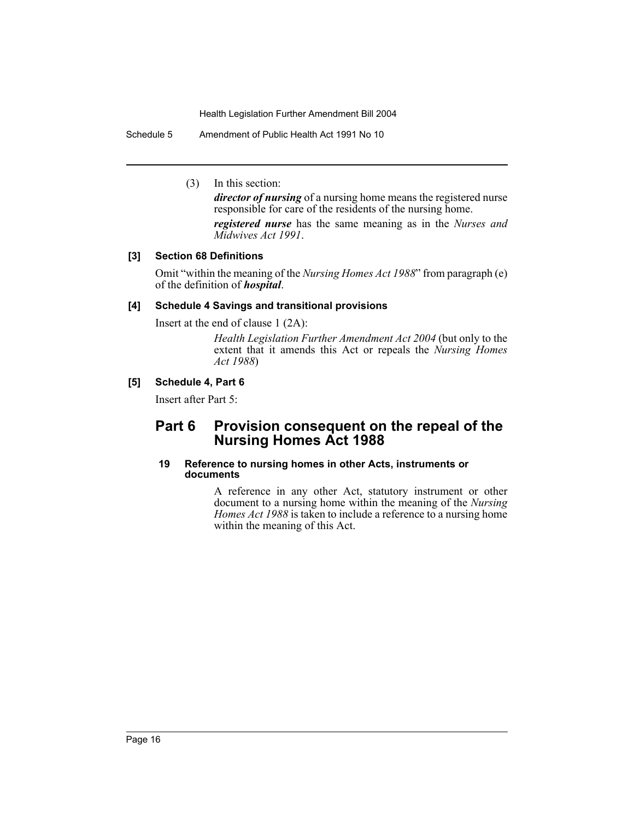Schedule 5 Amendment of Public Health Act 1991 No 10

(3) In this section:

*director of nursing* of a nursing home means the registered nurse responsible for care of the residents of the nursing home.

*registered nurse* has the same meaning as in the *Nurses and Midwives Act 1991*.

# **[3] Section 68 Definitions**

Omit "within the meaning of the *Nursing Homes Act 1988*" from paragraph (e) of the definition of *hospital*.

### **[4] Schedule 4 Savings and transitional provisions**

Insert at the end of clause 1 (2A):

*Health Legislation Further Amendment Act 2004* (but only to the extent that it amends this Act or repeals the *Nursing Homes Act 1988*)

### **[5] Schedule 4, Part 6**

Insert after Part 5:

# **Part 6 Provision consequent on the repeal of the Nursing Homes Act 1988**

#### **19 Reference to nursing homes in other Acts, instruments or documents**

A reference in any other Act, statutory instrument or other document to a nursing home within the meaning of the *Nursing Homes Act 1988* is taken to include a reference to a nursing home within the meaning of this Act.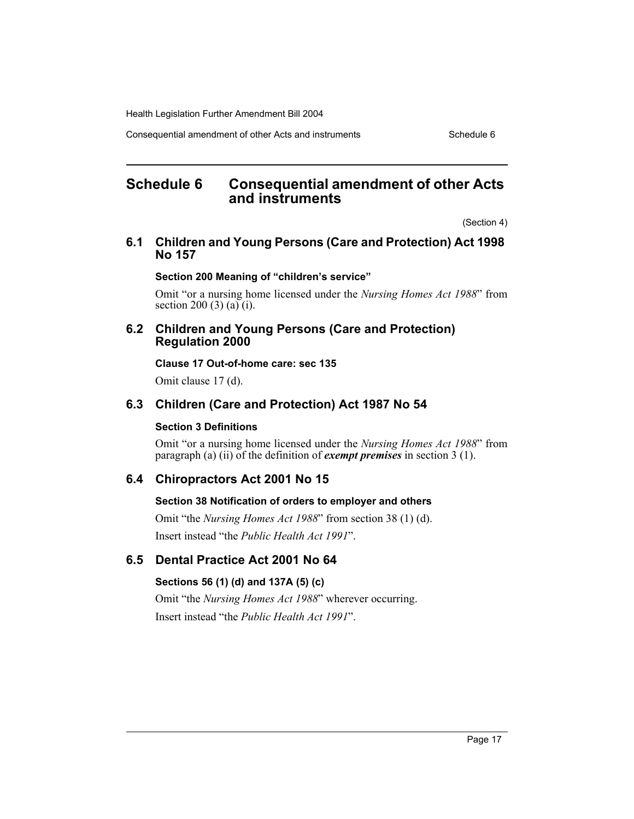Consequential amendment of other Acts and instruments Schedule 6

# **Schedule 6 Consequential amendment of other Acts and instruments**

(Section 4)

### **6.1 Children and Young Persons (Care and Protection) Act 1998 No 157**

### **Section 200 Meaning of "children's service"**

Omit "or a nursing home licensed under the *Nursing Homes Act 1988*" from section 200 (3) (a) (i).

### **6.2 Children and Young Persons (Care and Protection) Regulation 2000**

**Clause 17 Out-of-home care: sec 135**

Omit clause 17 (d).

# **6.3 Children (Care and Protection) Act 1987 No 54**

### **Section 3 Definitions**

Omit "or a nursing home licensed under the *Nursing Homes Act 1988*" from paragraph (a) (ii) of the definition of *exempt premises* in section 3 (1).

# **6.4 Chiropractors Act 2001 No 15**

### **Section 38 Notification of orders to employer and others**

Omit "the *Nursing Homes Act 1988*" from section 38 (1) (d). Insert instead "the *Public Health Act 1991*".

# **6.5 Dental Practice Act 2001 No 64**

# **Sections 56 (1) (d) and 137A (5) (c)**

Omit "the *Nursing Homes Act 1988*" wherever occurring. Insert instead "the *Public Health Act 1991*".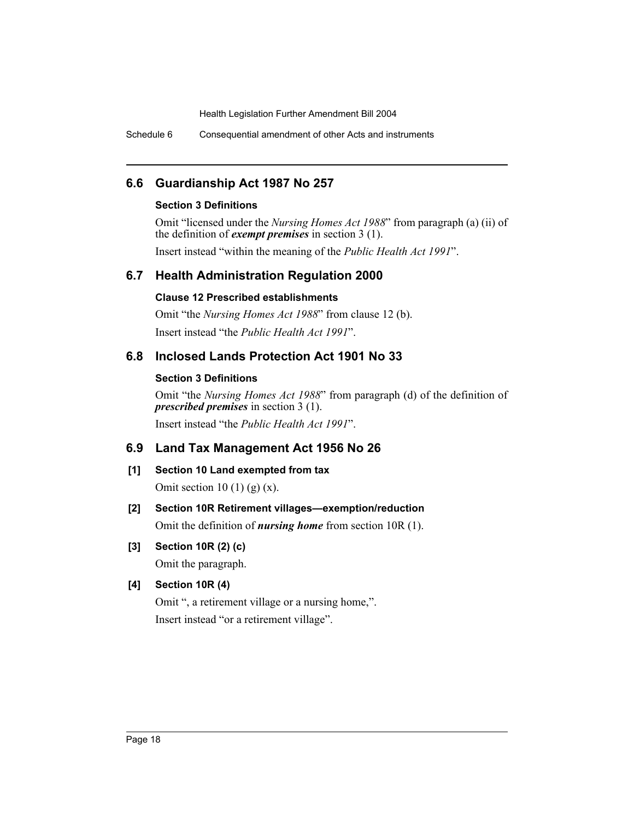Schedule 6 Consequential amendment of other Acts and instruments

# **6.6 Guardianship Act 1987 No 257**

### **Section 3 Definitions**

Omit "licensed under the *Nursing Homes Act 1988*" from paragraph (a) (ii) of the definition of *exempt premises* in section 3 (1).

Insert instead "within the meaning of the *Public Health Act 1991*".

# **6.7 Health Administration Regulation 2000**

# **Clause 12 Prescribed establishments**

Omit "the *Nursing Homes Act 1988*" from clause 12 (b). Insert instead "the *Public Health Act 1991*".

# **6.8 Inclosed Lands Protection Act 1901 No 33**

# **Section 3 Definitions**

Omit "the *Nursing Homes Act 1988*" from paragraph (d) of the definition of *prescribed premises* in section 3 (1).

Insert instead "the *Public Health Act 1991*".

# **6.9 Land Tax Management Act 1956 No 26**

**[1] Section 10 Land exempted from tax** Omit section 10 (1) (g)  $(x)$ .

# **[2] Section 10R Retirement villages—exemption/reduction**

Omit the definition of *nursing home* from section 10R (1).

**[3] Section 10R (2) (c)**

Omit the paragraph.

# **[4] Section 10R (4)**

Omit ", a retirement village or a nursing home,". Insert instead "or a retirement village".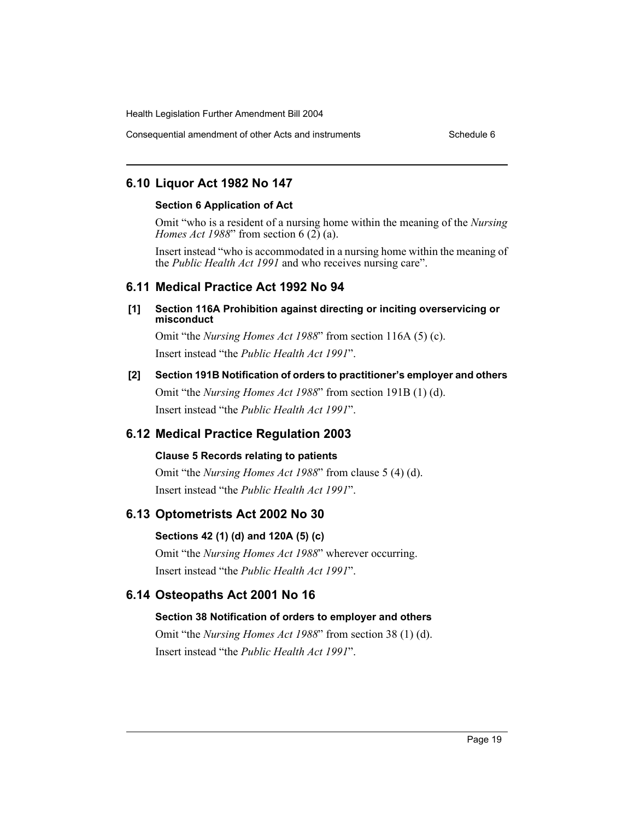Consequential amendment of other Acts and instruments Schedule 6

# **6.10 Liquor Act 1982 No 147**

### **Section 6 Application of Act**

Omit "who is a resident of a nursing home within the meaning of the *Nursing Homes Act 1988*" from section 6 (2) (a).

Insert instead "who is accommodated in a nursing home within the meaning of the *Public Health Act 1991* and who receives nursing care".

# **6.11 Medical Practice Act 1992 No 94**

### **[1] Section 116A Prohibition against directing or inciting overservicing or misconduct**

Omit "the *Nursing Homes Act 1988*" from section 116A (5) (c). Insert instead "the *Public Health Act 1991*".

# **[2] Section 191B Notification of orders to practitioner's employer and others** Omit "the *Nursing Homes Act 1988*" from section 191B (1) (d).

Insert instead "the *Public Health Act 1991*".

# **6.12 Medical Practice Regulation 2003**

# **Clause 5 Records relating to patients**

Omit "the *Nursing Homes Act 1988*" from clause 5 (4) (d). Insert instead "the *Public Health Act 1991*".

# **6.13 Optometrists Act 2002 No 30**

# **Sections 42 (1) (d) and 120A (5) (c)**

Omit "the *Nursing Homes Act 1988*" wherever occurring. Insert instead "the *Public Health Act 1991*".

# **6.14 Osteopaths Act 2001 No 16**

# **Section 38 Notification of orders to employer and others**

Omit "the *Nursing Homes Act 1988*" from section 38 (1) (d). Insert instead "the *Public Health Act 1991*".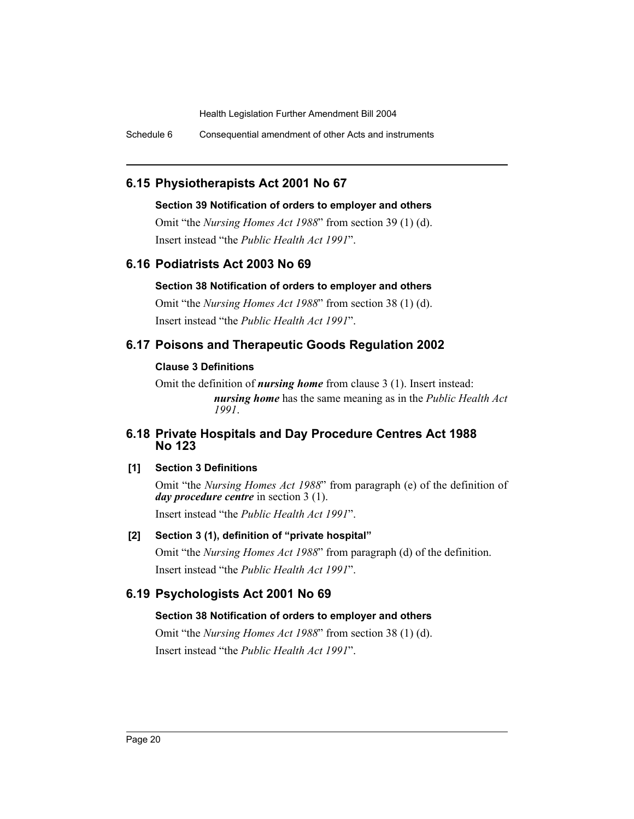Schedule 6 Consequential amendment of other Acts and instruments

# **6.15 Physiotherapists Act 2001 No 67**

### **Section 39 Notification of orders to employer and others**

Omit "the *Nursing Homes Act 1988*" from section 39 (1) (d). Insert instead "the *Public Health Act 1991*".

# **6.16 Podiatrists Act 2003 No 69**

### **Section 38 Notification of orders to employer and others**

Omit "the *Nursing Homes Act 1988*" from section 38 (1) (d). Insert instead "the *Public Health Act 1991*".

# **6.17 Poisons and Therapeutic Goods Regulation 2002**

### **Clause 3 Definitions**

Omit the definition of *nursing home* from clause 3 (1). Insert instead: *nursing home* has the same meaning as in the *Public Health Act 1991*.

# **6.18 Private Hospitals and Day Procedure Centres Act 1988 No 123**

# **[1] Section 3 Definitions**

Omit "the *Nursing Homes Act 1988*" from paragraph (e) of the definition of *day procedure centre* in section 3 (1).

Insert instead "the *Public Health Act 1991*".

# **[2] Section 3 (1), definition of "private hospital"**

Omit "the *Nursing Homes Act 1988*" from paragraph (d) of the definition. Insert instead "the *Public Health Act 1991*".

# **6.19 Psychologists Act 2001 No 69**

# **Section 38 Notification of orders to employer and others**

Omit "the *Nursing Homes Act 1988*" from section 38 (1) (d). Insert instead "the *Public Health Act 1991*".